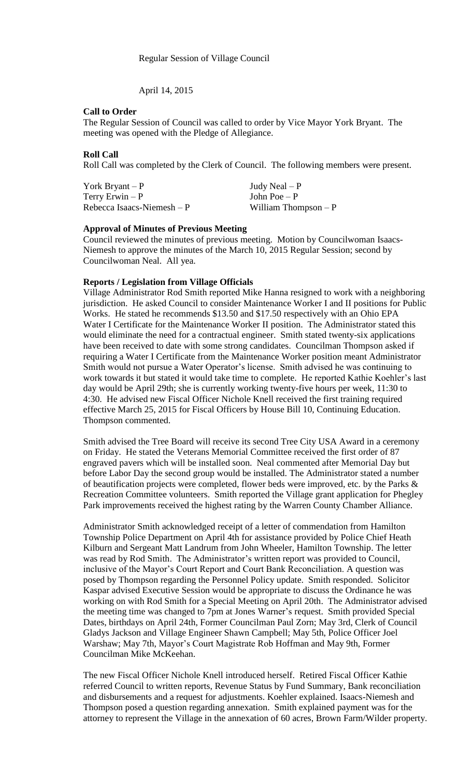April 14, 2015

#### **Call to Order**

The Regular Session of Council was called to order by Vice Mayor York Bryant. The meeting was opened with the Pledge of Allegiance.

## **Roll Call**

Roll Call was completed by the Clerk of Council. The following members were present.

York Bryant – P  $Judy$  Neal – P  $Terry Erwin - P$  John Poe – P  $Rebecca Isaacs-Niemesh - P$  William Thompson – P

## **Approval of Minutes of Previous Meeting**

Council reviewed the minutes of previous meeting. Motion by Councilwoman Isaacs-Niemesh to approve the minutes of the March 10, 2015 Regular Session; second by Councilwoman Neal. All yea.

## **Reports / Legislation from Village Officials**

Village Administrator Rod Smith reported Mike Hanna resigned to work with a neighboring jurisdiction. He asked Council to consider Maintenance Worker I and II positions for Public Works. He stated he recommends \$13.50 and \$17.50 respectively with an Ohio EPA Water I Certificate for the Maintenance Worker II position. The Administrator stated this would eliminate the need for a contractual engineer. Smith stated twenty-six applications have been received to date with some strong candidates. Councilman Thompson asked if requiring a Water I Certificate from the Maintenance Worker position meant Administrator Smith would not pursue a Water Operator's license. Smith advised he was continuing to work towards it but stated it would take time to complete. He reported Kathie Koehler's last day would be April 29th; she is currently working twenty-five hours per week, 11:30 to 4:30. He advised new Fiscal Officer Nichole Knell received the first training required effective March 25, 2015 for Fiscal Officers by House Bill 10, Continuing Education. Thompson commented.

Smith advised the Tree Board will receive its second Tree City USA Award in a ceremony on Friday. He stated the Veterans Memorial Committee received the first order of 87 engraved pavers which will be installed soon. Neal commented after Memorial Day but before Labor Day the second group would be installed. The Administrator stated a number of beautification projects were completed, flower beds were improved, etc. by the Parks  $\&$ Recreation Committee volunteers. Smith reported the Village grant application for Phegley Park improvements received the highest rating by the Warren County Chamber Alliance.

Administrator Smith acknowledged receipt of a letter of commendation from Hamilton Township Police Department on April 4th for assistance provided by Police Chief Heath Kilburn and Sergeant Matt Landrum from John Wheeler, Hamilton Township. The letter was read by Rod Smith. The Administrator's written report was provided to Council, inclusive of the Mayor's Court Report and Court Bank Reconciliation. A question was posed by Thompson regarding the Personnel Policy update. Smith responded. Solicitor Kaspar advised Executive Session would be appropriate to discuss the Ordinance he was working on with Rod Smith for a Special Meeting on April 20th. The Administrator advised the meeting time was changed to 7pm at Jones Warner's request. Smith provided Special Dates, birthdays on April 24th, Former Councilman Paul Zorn; May 3rd, Clerk of Council Gladys Jackson and Village Engineer Shawn Campbell; May 5th, Police Officer Joel Warshaw; May 7th, Mayor's Court Magistrate Rob Hoffman and May 9th, Former Councilman Mike McKeehan.

The new Fiscal Officer Nichole Knell introduced herself. Retired Fiscal Officer Kathie referred Council to written reports, Revenue Status by Fund Summary, Bank reconciliation and disbursements and a request for adjustments. Koehler explained. Isaacs-Niemesh and Thompson posed a question regarding annexation. Smith explained payment was for the attorney to represent the Village in the annexation of 60 acres, Brown Farm/Wilder property.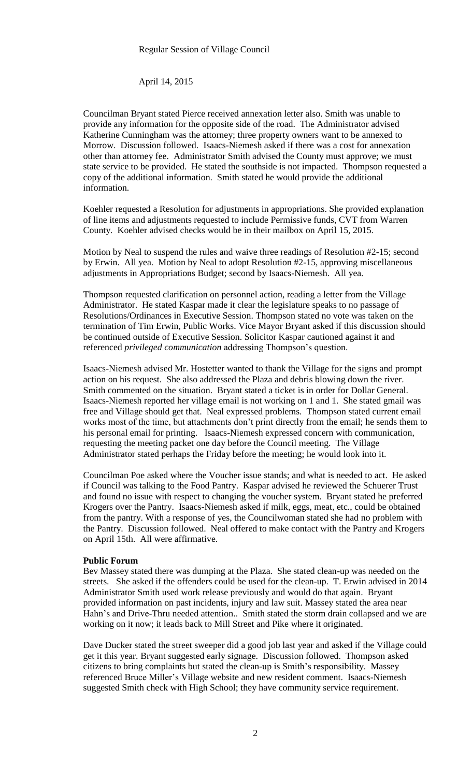April 14, 2015

Councilman Bryant stated Pierce received annexation letter also. Smith was unable to provide any information for the opposite side of the road. The Administrator advised Katherine Cunningham was the attorney; three property owners want to be annexed to Morrow. Discussion followed. Isaacs-Niemesh asked if there was a cost for annexation other than attorney fee. Administrator Smith advised the County must approve; we must state service to be provided. He stated the southside is not impacted. Thompson requested a copy of the additional information. Smith stated he would provide the additional information.

Koehler requested a Resolution for adjustments in appropriations. She provided explanation of line items and adjustments requested to include Permissive funds, CVT from Warren County. Koehler advised checks would be in their mailbox on April 15, 2015.

Motion by Neal to suspend the rules and waive three readings of Resolution #2-15; second by Erwin. All yea. Motion by Neal to adopt Resolution #2-15, approving miscellaneous adjustments in Appropriations Budget; second by Isaacs-Niemesh. All yea.

Thompson requested clarification on personnel action, reading a letter from the Village Administrator. He stated Kaspar made it clear the legislature speaks to no passage of Resolutions/Ordinances in Executive Session. Thompson stated no vote was taken on the termination of Tim Erwin, Public Works. Vice Mayor Bryant asked if this discussion should be continued outside of Executive Session. Solicitor Kaspar cautioned against it and referenced *privileged communication* addressing Thompson's question.

Isaacs-Niemesh advised Mr. Hostetter wanted to thank the Village for the signs and prompt action on his request. She also addressed the Plaza and debris blowing down the river. Smith commented on the situation. Bryant stated a ticket is in order for Dollar General. Isaacs-Niemesh reported her village email is not working on 1 and 1. She stated gmail was free and Village should get that. Neal expressed problems. Thompson stated current email works most of the time, but attachments don't print directly from the email; he sends them to his personal email for printing. Isaacs-Niemesh expressed concern with communication, requesting the meeting packet one day before the Council meeting. The Village Administrator stated perhaps the Friday before the meeting; he would look into it.

Councilman Poe asked where the Voucher issue stands; and what is needed to act. He asked if Council was talking to the Food Pantry. Kaspar advised he reviewed the Schuerer Trust and found no issue with respect to changing the voucher system. Bryant stated he preferred Krogers over the Pantry. Isaacs-Niemesh asked if milk, eggs, meat, etc., could be obtained from the pantry. With a response of yes, the Councilwoman stated she had no problem with the Pantry. Discussion followed. Neal offered to make contact with the Pantry and Krogers on April 15th. All were affirmative.

#### **Public Forum**

Bev Massey stated there was dumping at the Plaza. She stated clean-up was needed on the streets. She asked if the offenders could be used for the clean-up. T. Erwin advised in 2014 Administrator Smith used work release previously and would do that again. Bryant provided information on past incidents, injury and law suit. Massey stated the area near Hahn's and Drive-Thru needed attention.. Smith stated the storm drain collapsed and we are working on it now; it leads back to Mill Street and Pike where it originated.

Dave Ducker stated the street sweeper did a good job last year and asked if the Village could get it this year. Bryant suggested early signage. Discussion followed. Thompson asked citizens to bring complaints but stated the clean-up is Smith's responsibility. Massey referenced Bruce Miller's Village website and new resident comment. Isaacs-Niemesh suggested Smith check with High School; they have community service requirement.